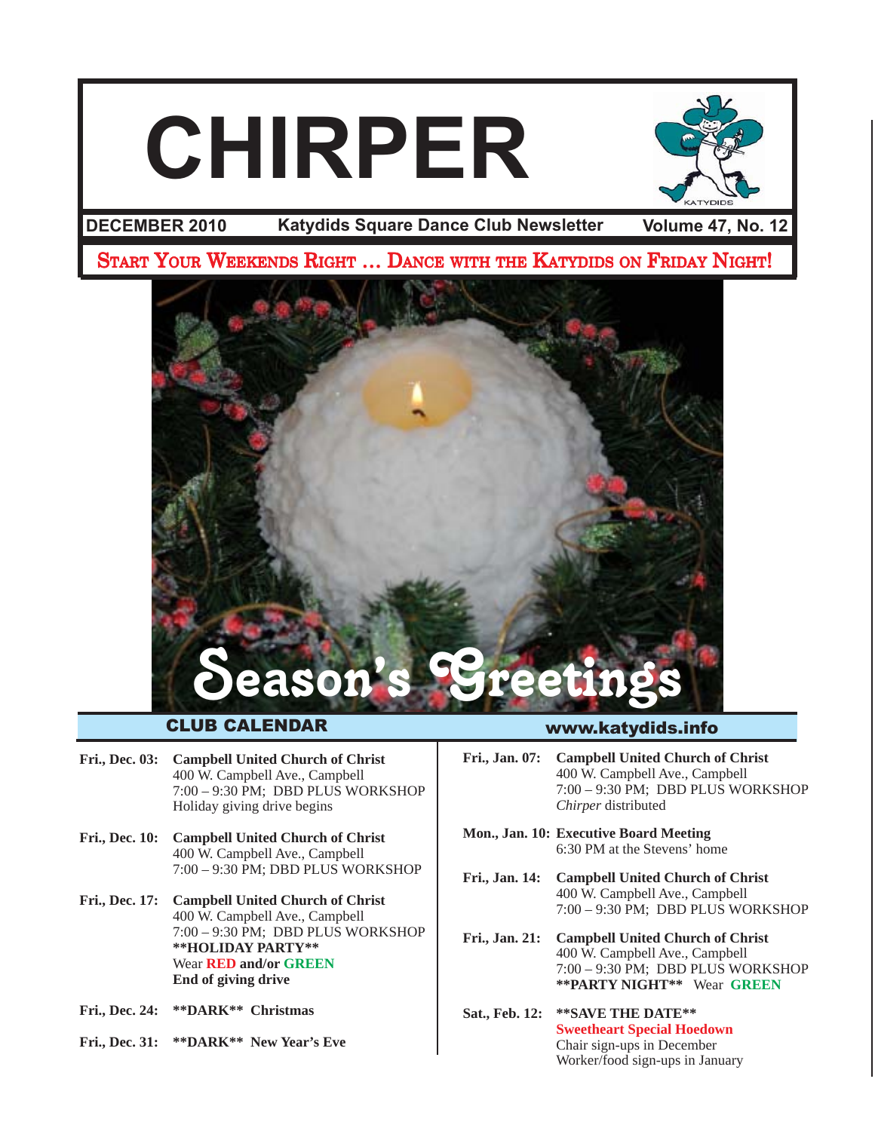# **CHIRPER**



**Katydids Square Dance Club Newsletter DECEMBER 2010**

**Volume 47, No. 12**

START YOUR WEEKENDS RIGHT ... DANCE WITH THE KATYDIDS ON FRIDAY NIGHT!



### CLUB CALENDAR

- **Fri., Dec. 03: Campbell United Church of Christ** 400 W. Campbell Ave., Campbell 7:00 – 9:30 PM; DBD PLUS WORKSHOP Holiday giving drive begins
- **Fri., Dec. 10: Campbell United Church of Christ** 400 W. Campbell Ave., Campbell 7:00 – 9:30 PM; DBD PLUS WORKSHOP
- **Fri., Dec. 17: Campbell United Church of Christ** 400 W. Campbell Ave., Campbell 7:00 – 9:30 PM; DBD PLUS WORKSHOP **\*\*HOLIDAY PARTY\*\*** Wear **RED and/or GREEN End of giving drive**
- **Fri., Dec. 24: \*\*DARK\*\* Christmas**
- **Fri., Dec. 31: \*\*DARK\*\* New Year's Eve**

### www.katydids.info

- **Fri., Jan. 07: Campbell United Church of Christ** 400 W. Campbell Ave., Campbell 7:00 – 9:30 PM; DBD PLUS WORKSHOP *Chirper* distributed
- **Mon., Jan. 10: Executive Board Meeting** 6:30 PM at the Stevens' home
- **Fri., Jan. 14: Campbell United Church of Christ** 400 W. Campbell Ave., Campbell 7:00 – 9:30 PM; DBD PLUS WORKSHOP
- **Fri., Jan. 21: Campbell United Church of Christ** 400 W. Campbell Ave., Campbell 7:00 – 9:30 PM; DBD PLUS WORKSHOP **\*\*PARTY NIGHT\*\*** Wear **GREEN**
- **Sat., Feb. 12: \*\*SAVE THE DATE\*\* Sweetheart Special Hoedown** Chair sign-ups in December Worker/food sign-ups in January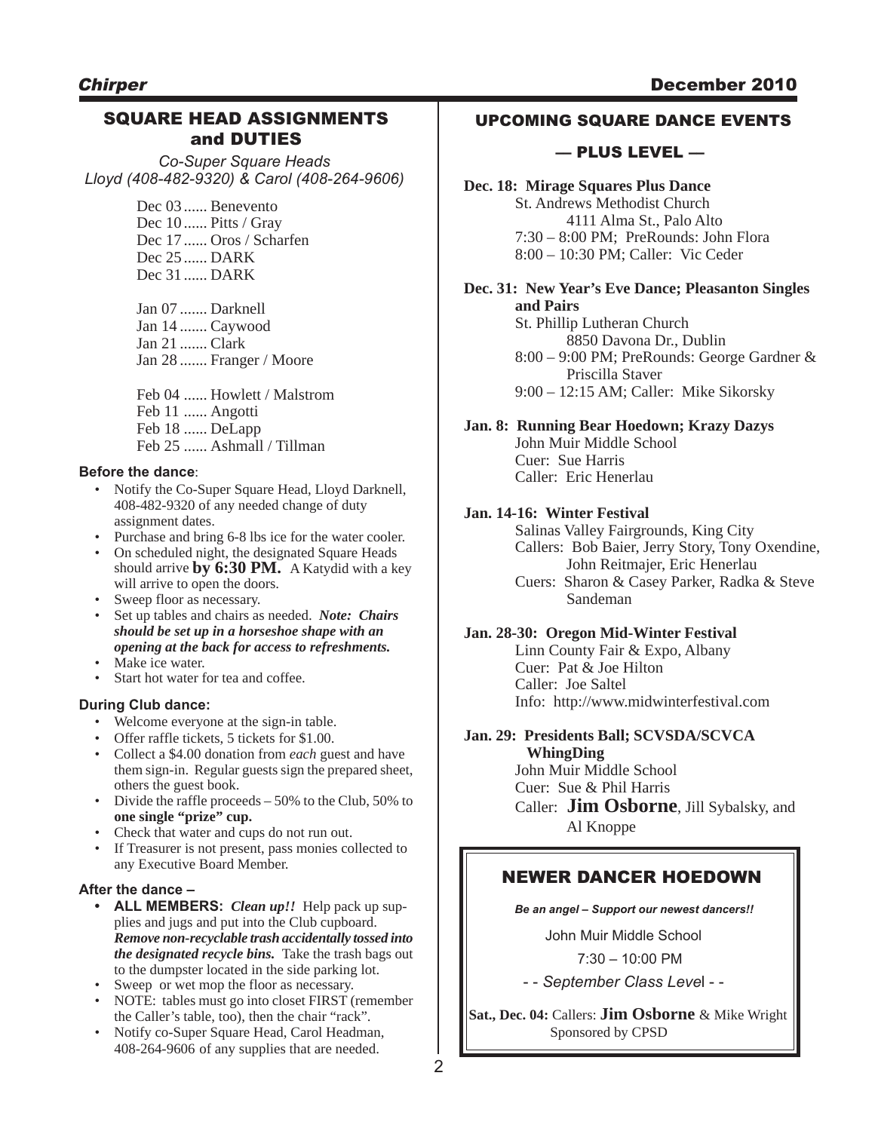### SQUARE HEAD ASSIGNMENTS and DUTIES

*Co-Super Square Heads Lloyd (408-482-9320) & Carol (408-264-9606)*

> Dec 03 ...... Benevento Dec 10 Pitts / Gray Dec 17 ...... Oros / Scharfen Dec 25 ...... DARK Dec 31 ...... DARK

Jan 07 ....... Darknell Jan 14 ....... Caywood Jan 21 ....... Clark Jan 28 ....... Franger / Moore

Feb 04 ...... Howlett / Malstrom Feb 11 ...... Angotti Feb 18 ...... DeLapp Feb 25 Ashmall / Tillman

### **Before the dance**:

- Notify the Co-Super Square Head, Lloyd Darknell, 408-482-9320 of any needed change of duty assignment dates.
- Purchase and bring 6-8 lbs ice for the water cooler.
- On scheduled night, the designated Square Heads should arrive **by 6:30 PM.** A Katydid with a key will arrive to open the doors.
- Sweep floor as necessary.
- Set up tables and chairs as needed. *Note: Chairs should be set up in a horseshoe shape with an opening at the back for access to refreshments.*
- Make ice water.
- Start hot water for tea and coffee.

### **During Club dance:**

- Welcome everyone at the sign-in table.
- Offer raffle tickets, 5 tickets for \$1.00.
- Collect a \$4.00 donation from *each* guest and have them sign-in. Regular guests sign the prepared sheet, others the guest book.
- Divide the raffle proceeds  $-50\%$  to the Club, 50% to **one single "prize" cup.**
- Check that water and cups do not run out.
- If Treasurer is not present, pass monies collected to any Executive Board Member.

### **After the dance –**

- **• ALL MEMBERS:** *Clean up!!* Help pack up supplies and jugs and put into the Club cupboard. *Remove non-recyclable trash accidentally tossed into the designated recycle bins.* Take the trash bags out to the dumpster located in the side parking lot.
- Sweep or wet mop the floor as necessary.
- NOTE: tables must go into closet FIRST (remember the Caller's table, too), then the chair "rack".
- Notify co-Super Square Head, Carol Headman, 408-264-9606 of any supplies that are needed.

### UPCOMING SQUARE DANCE EVENTS

### –– PLUS LEVEL ––

**Dec. 18: Mirage Squares Plus Dance** St. Andrews Methodist Church 4111 Alma St., Palo Alto 7:30 – 8:00 PM; PreRounds: John Flora 8:00 – 10:30 PM; Caller: Vic Ceder

### **Dec. 31: New Year's Eve Dance; Pleasanton Singles and Pairs**

St. Phillip Lutheran Church 8850 Davona Dr., Dublin 8:00 – 9:00 PM; PreRounds: George Gardner & Priscilla Staver 9:00 – 12:15 AM; Caller: Mike Sikorsky

### **Jan. 8: Running Bear Hoedown; Krazy Dazys** John Muir Middle School

Cuer: Sue Harris Caller: Eric Henerlau

### **Jan. 14-16: Winter Festival**

Salinas Valley Fairgrounds, King City Callers: Bob Baier, Jerry Story, Tony Oxendine, John Reitmajer, Eric Henerlau Cuers: Sharon & Casey Parker, Radka & Steve Sandeman

### **Jan. 28-30: Oregon Mid-Winter Festival**

Linn County Fair & Expo, Albany Cuer: Pat & Joe Hilton Caller: Joe Saltel Info: http://www.midwinterfestival.com

### **Jan. 29: Presidents Ball; SCVSDA/SCVCA WhingDing**

John Muir Middle School Cuer: Sue & Phil Harris Caller: **Jim Osborne**, Jill Sybalsky, and Al Knoppe

### NEWER DANCER HOEDOWN

*Be an angel – Support our newest dancers!!*

John Muir Middle School

 $7:30 - 10:00$  PM

- - *September Class Leve*l - -

**Sat., Dec. 04:** Callers: **Jim Osborne** & Mike Wright Sponsored by CPSD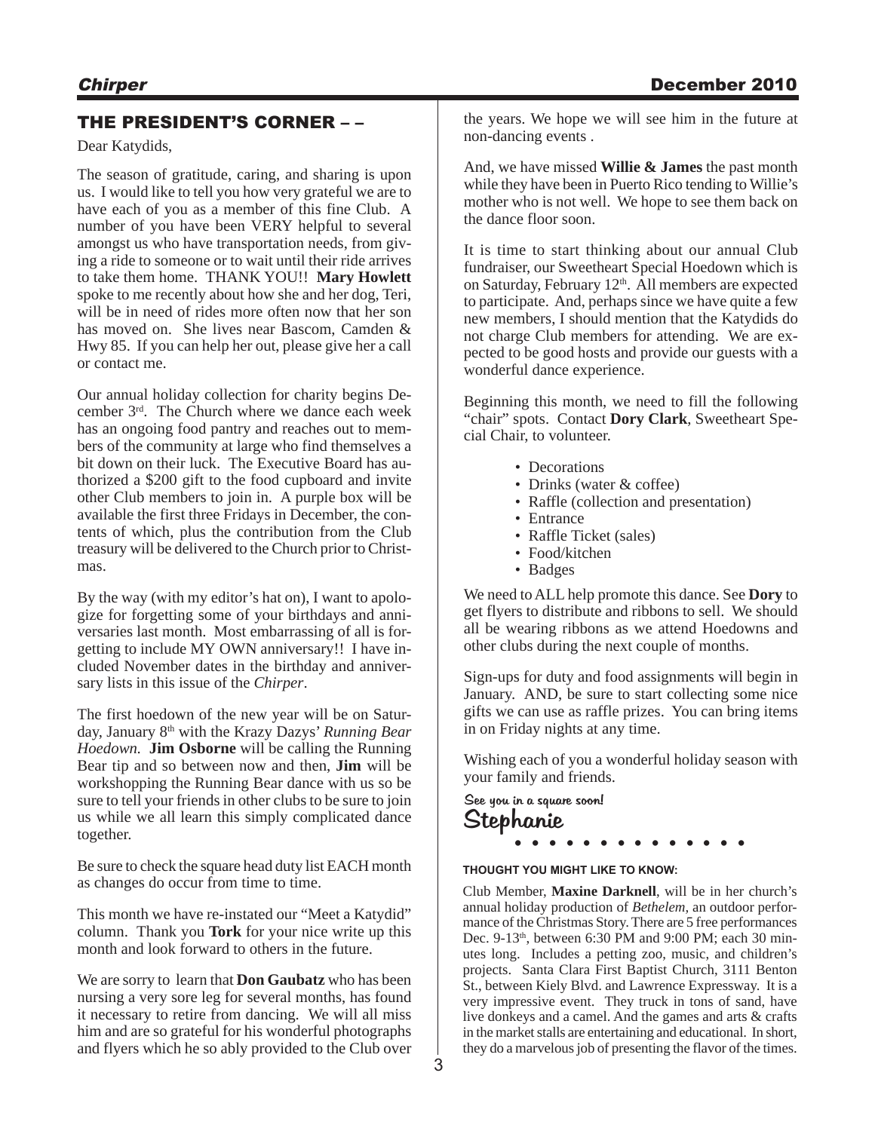### Chirper December 2010

### THE PRESIDENT'S CORNER – –

Dear Katydids,

The season of gratitude, caring, and sharing is upon us. I would like to tell you how very grateful we are to have each of you as a member of this fine Club. A number of you have been VERY helpful to several amongst us who have transportation needs, from giving a ride to someone or to wait until their ride arrives to take them home. THANK YOU!! **Mary Howlett** spoke to me recently about how she and her dog, Teri, will be in need of rides more often now that her son has moved on. She lives near Bascom, Camden & Hwy 85. If you can help her out, please give her a call or contact me.

Our annual holiday collection for charity begins December 3rd. The Church where we dance each week has an ongoing food pantry and reaches out to members of the community at large who find themselves a bit down on their luck. The Executive Board has authorized a \$200 gift to the food cupboard and invite other Club members to join in. A purple box will be available the first three Fridays in December, the contents of which, plus the contribution from the Club treasury will be delivered to the Church prior to Christmas.

By the way (with my editor's hat on), I want to apologize for forgetting some of your birthdays and anniversaries last month. Most embarrassing of all is forgetting to include MY OWN anniversary!! I have included November dates in the birthday and anniversary lists in this issue of the *Chirper*.

The first hoedown of the new year will be on Saturday, January 8th with the Krazy Dazys' *Running Bear Hoedown.* **Jim Osborne** will be calling the Running Bear tip and so between now and then, **Jim** will be workshopping the Running Bear dance with us so be sure to tell your friends in other clubs to be sure to join us while we all learn this simply complicated dance together.

Be sure to check the square head duty list EACH month as changes do occur from time to time.

This month we have re-instated our "Meet a Katydid" column. Thank you **Tork** for your nice write up this month and look forward to others in the future.

We are sorry to learn that **Don Gaubatz** who has been nursing a very sore leg for several months, has found it necessary to retire from dancing. We will all miss him and are so grateful for his wonderful photographs and flyers which he so ably provided to the Club over the years. We hope we will see him in the future at non-dancing events .

And, we have missed **Willie & James** the past month while they have been in Puerto Rico tending to Willie's mother who is not well. We hope to see them back on the dance floor soon.

It is time to start thinking about our annual Club fundraiser, our Sweetheart Special Hoedown which is on Saturday, February  $12<sup>th</sup>$ . All members are expected to participate. And, perhaps since we have quite a few new members, I should mention that the Katydids do not charge Club members for attending. We are expected to be good hosts and provide our guests with a wonderful dance experience.

Beginning this month, we need to fill the following "chair" spots. Contact **Dory Clark**, Sweetheart Special Chair, to volunteer.

- Decorations
- Drinks (water & coffee)
- Raffle (collection and presentation)
- Entrance
- Raffle Ticket (sales)
- Food/kitchen
- Badges

We need to ALL help promote this dance. See **Dory** to get flyers to distribute and ribbons to sell. We should all be wearing ribbons as we attend Hoedowns and other clubs during the next couple of months.

Sign-ups for duty and food assignments will begin in January. AND, be sure to start collecting some nice gifts we can use as raffle prizes. You can bring items in on Friday nights at any time.

Wishing each of you a wonderful holiday season with your family and friends.

### Stephanie See you in a square soon! **. . . . . . . . . . . . . .**

### **THOUGHT YOU MIGHT LIKE TO KNOW:**

Club Member, **Maxine Darknell**, will be in her church's annual holiday production of *Bethelem,* an outdoor performance of the Christmas Story. There are 5 free performances Dec. 9-13<sup>th</sup>, between 6:30 PM and 9:00 PM; each 30 minutes long. Includes a petting zoo, music, and children's projects. Santa Clara First Baptist Church, 3111 Benton St., between Kiely Blvd. and Lawrence Expressway. It is a very impressive event. They truck in tons of sand, have live donkeys and a camel. And the games and arts & crafts in the market stalls are entertaining and educational. In short, they do a marvelous job of presenting the flavor of the times.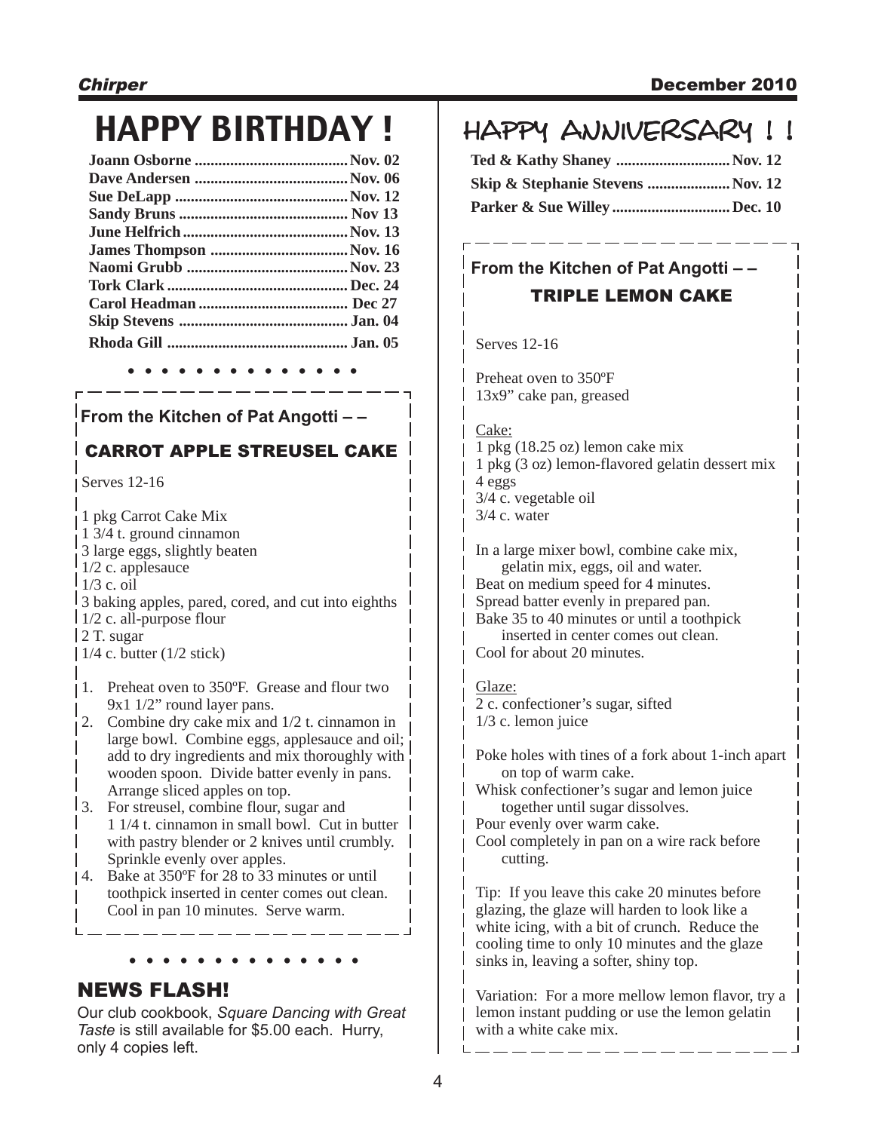# HAPPY BIRTHDAY ! | HAPPY ANNIVERSARY !!

| James Thompson Nov. 16 |  |
|------------------------|--|
|                        |  |
|                        |  |
|                        |  |
|                        |  |
|                        |  |
|                        |  |

**. . . . . . . . . . . . . .**

### **From the Kitchen of Pat Angotti – –**

### CARROT APPLE STREUSEL CAKE

Serves 12-16

1 pkg Carrot Cake Mix 1 3/4 t. ground cinnamon 3 large eggs, slightly beaten 1/2 c. applesauce 1/3 c. oil 3 baking apples, pared, cored, and cut into eighths 1/2 c. all-purpose flour 2 T. sugar  $1/4$  c. butter  $(1/2 \text{ stick})$ 

- 1. Preheat oven to 350ºF. Grease and flour two 9x1 1/2" round layer pans.
- 2. Combine dry cake mix and 1/2 t. cinnamon in large bowl. Combine eggs, applesauce and oil; add to dry ingredients and mix thoroughly with wooden spoon. Divide batter evenly in pans. Arrange sliced apples on top.
- 3. For streusel, combine flour, sugar and 1 1/4 t. cinnamon in small bowl. Cut in butter with pastry blender or 2 knives until crumbly. Sprinkle evenly over apples.
- 4. Bake at 350ºF for 28 to 33 minutes or until toothpick inserted in center comes out clean. Cool in pan 10 minutes. Serve warm.

# **. . . . . . . . . . . . . .**

### NEWS FLASH!

Our club cookbook, *Square Dancing with Great Taste* is still available for \$5.00 each. Hurry, only 4 copies left.

| Ted & Kathy Shaney Nov. 12       |  |
|----------------------------------|--|
| Skip & Stephanie Stevens Nov. 12 |  |
| Parker & Sue Willey Dec. 10      |  |

### **From the Kitchen of Pat Angotti – –** TRIPLE LEMON CAKE

Serves 12-16

Preheat oven to 350ºF 13x9" cake pan, greased

### Cake:

1 pkg (18.25 oz) lemon cake mix 1 pkg (3 oz) lemon-flavored gelatin dessert mix 4 eggs 3/4 c. vegetable oil 3/4 c. water

In a large mixer bowl, combine cake mix, gelatin mix, eggs, oil and water. Beat on medium speed for 4 minutes. Spread batter evenly in prepared pan. Bake 35 to 40 minutes or until a toothpick inserted in center comes out clean. Cool for about 20 minutes.

Glaze: 2 c. confectioner's sugar, sifted 1/3 c. lemon juice

Poke holes with tines of a fork about 1-inch apart on top of warm cake.

Whisk confectioner's sugar and lemon juice together until sugar dissolves.

Pour evenly over warm cake.

Cool completely in pan on a wire rack before cutting.

Tip: If you leave this cake 20 minutes before glazing, the glaze will harden to look like a white icing, with a bit of crunch. Reduce the cooling time to only 10 minutes and the glaze sinks in, leaving a softer, shiny top.

Variation: For a more mellow lemon flavor, try a lemon instant pudding or use the lemon gelatin with a white cake mix.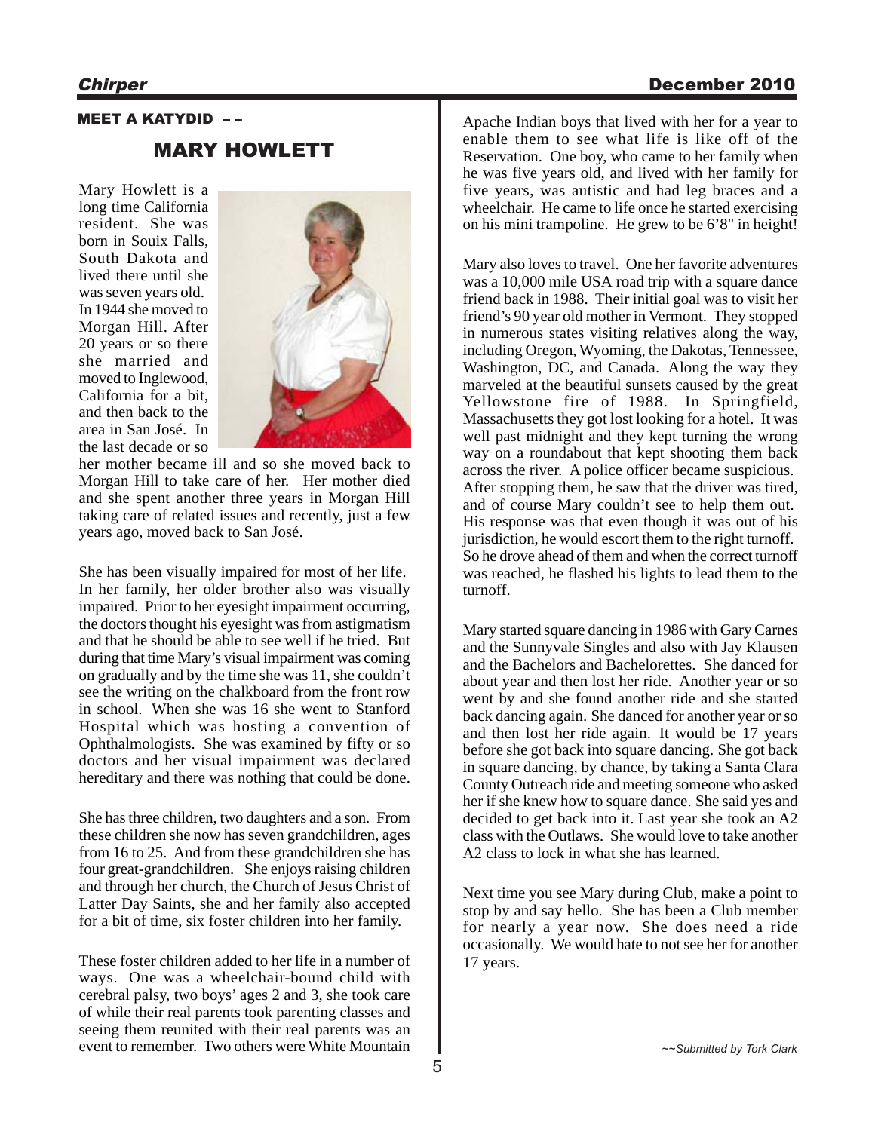### Chirper December 2010

## MEET A KATYDID – – MARY HOWLETT

Mary Howlett is a long time California resident. She was born in Souix Falls, South Dakota and lived there until she was seven years old. In 1944 she moved to Morgan Hill. After 20 years or so there she married and moved to Inglewood, California for a bit, and then back to the area in San José. In the last decade or so



her mother became ill and so she moved back to Morgan Hill to take care of her. Her mother died and she spent another three years in Morgan Hill taking care of related issues and recently, just a few years ago, moved back to San José.

She has been visually impaired for most of her life. In her family, her older brother also was visually impaired. Prior to her eyesight impairment occurring, the doctors thought his eyesight was from astigmatism and that he should be able to see well if he tried. But during that time Mary's visual impairment was coming on gradually and by the time she was 11, she couldn't see the writing on the chalkboard from the front row in school. When she was 16 she went to Stanford Hospital which was hosting a convention of Ophthalmologists. She was examined by fifty or so doctors and her visual impairment was declared hereditary and there was nothing that could be done.

She has three children, two daughters and a son. From these children she now has seven grandchildren, ages from 16 to 25. And from these grandchildren she has four great-grandchildren. She enjoys raising children and through her church, the Church of Jesus Christ of Latter Day Saints, she and her family also accepted for a bit of time, six foster children into her family.

These foster children added to her life in a number of ways. One was a wheelchair-bound child with cerebral palsy, two boys' ages 2 and 3, she took care of while their real parents took parenting classes and seeing them reunited with their real parents was an event to remember. Two others were White Mountain

Apache Indian boys that lived with her for a year to enable them to see what life is like off of the Reservation. One boy, who came to her family when he was five years old, and lived with her family for five years, was autistic and had leg braces and a wheelchair. He came to life once he started exercising on his mini trampoline. He grew to be 6'8" in height!

Mary also loves to travel. One her favorite adventures was a 10,000 mile USA road trip with a square dance friend back in 1988. Their initial goal was to visit her friend's 90 year old mother in Vermont. They stopped in numerous states visiting relatives along the way, including Oregon, Wyoming, the Dakotas, Tennessee, Washington, DC, and Canada. Along the way they marveled at the beautiful sunsets caused by the great Yellowstone fire of 1988. In Springfield, Massachusetts they got lost looking for a hotel. It was well past midnight and they kept turning the wrong way on a roundabout that kept shooting them back across the river. A police officer became suspicious. After stopping them, he saw that the driver was tired, and of course Mary couldn't see to help them out. His response was that even though it was out of his jurisdiction, he would escort them to the right turnoff. So he drove ahead of them and when the correct turnoff was reached, he flashed his lights to lead them to the turnoff.

Mary started square dancing in 1986 with Gary Carnes and the Sunnyvale Singles and also with Jay Klausen and the Bachelors and Bachelorettes. She danced for about year and then lost her ride. Another year or so went by and she found another ride and she started back dancing again. She danced for another year or so and then lost her ride again. It would be 17 years before she got back into square dancing. She got back in square dancing, by chance, by taking a Santa Clara County Outreach ride and meeting someone who asked her if she knew how to square dance. She said yes and decided to get back into it. Last year she took an A2 class with the Outlaws. She would love to take another A2 class to lock in what she has learned.

Next time you see Mary during Club, make a point to stop by and say hello. She has been a Club member for nearly a year now. She does need a ride occasionally. We would hate to not see her for another 17 years.